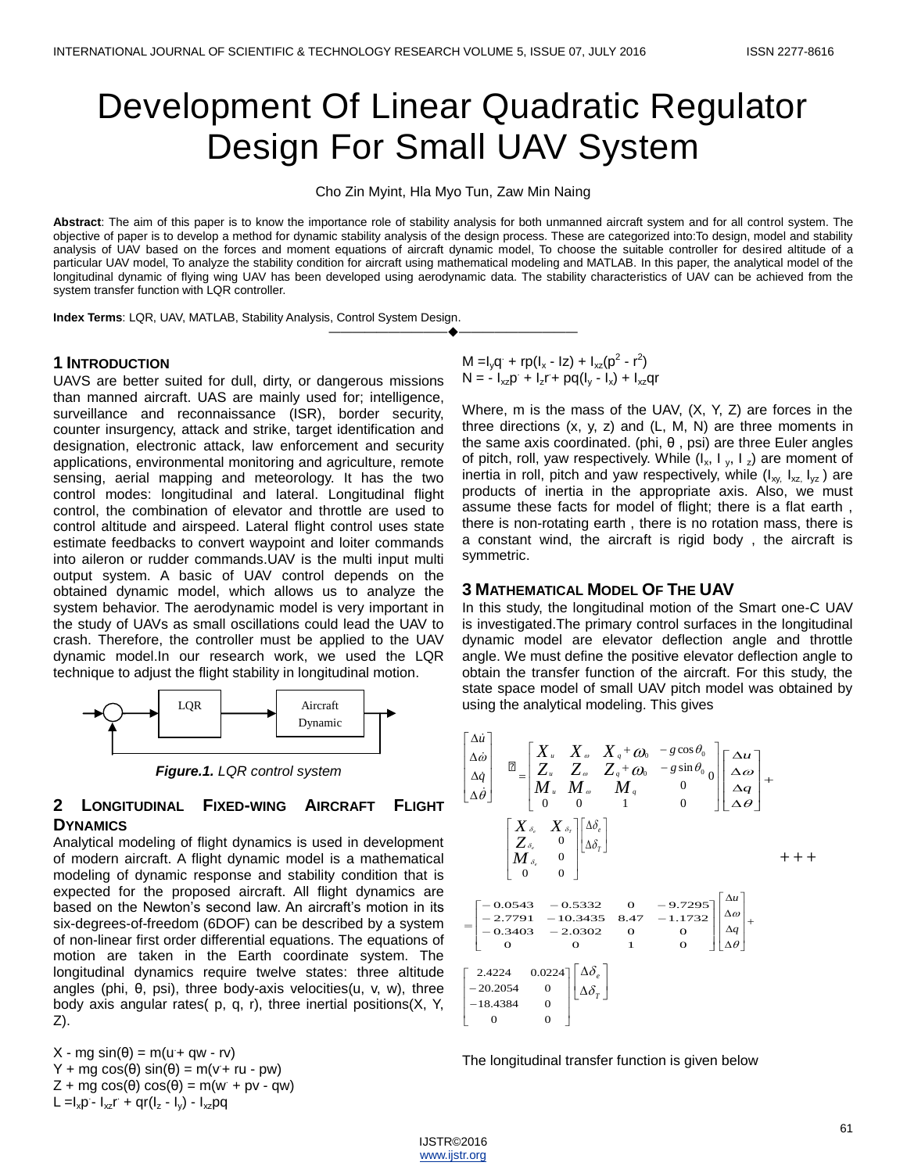# Development Of Linear Quadratic Regulator Design For Small UAV System

Cho Zin Myint, Hla Myo Tun, Zaw Min Naing

**Abstract**: The aim of this paper is to know the importance role of stability analysis for both unmanned aircraft system and for all control system. The objective of paper is to develop a method for dynamic stability analysis of the design process. These are categorized into:To design, model and stability analysis of UAV based on the forces and moment equations of aircraft dynamic model, To choose the suitable controller for desired altitude of a particular UAV model, To analyze the stability condition for aircraft using mathematical modeling and MATLAB. In this paper, the analytical model of the longitudinal dynamic of flying wing UAV has been developed using aerodynamic data. The stability characteristics of UAV can be achieved from the system transfer function with LQR controller.

————————————————————

**Index Terms**: LQR, UAV, MATLAB, Stability Analysis, Control System Design.

## **1 INTRODUCTION**

UAVS are better suited for dull, dirty, or dangerous missions than manned aircraft. UAS are mainly used for; intelligence, surveillance and reconnaissance (ISR), border security, counter insurgency, attack and strike, target identification and designation, electronic attack, law enforcement and security applications, environmental monitoring and agriculture, remote sensing, aerial mapping and meteorology. It has the two control modes: longitudinal and lateral. Longitudinal flight control, the combination of elevator and throttle are used to control altitude and airspeed. Lateral flight control uses state estimate feedbacks to convert waypoint and loiter commands into aileron or rudder commands.UAV is the multi input multi output system. A basic of UAV control depends on the obtained dynamic model, which allows us to analyze the system behavior. The aerodynamic model is very important in the study of UAVs as small oscillations could lead the UAV to crash. Therefore, the controller must be applied to the UAV dynamic model.In our research work, we used the LQR technique to adjust the flight stability in longitudinal motion.



*Figure.1. LQR control system*

## **2 LONGITUDINAL FIXED-WING AIRCRAFT FLIGHT DYNAMICS**

Analytical modeling of flight dynamics is used in development of modern aircraft. A flight dynamic model is a mathematical modeling of dynamic response and stability condition that is expected for the proposed aircraft. All flight dynamics are based on the Newton's second law. An aircraft's motion in its six-degrees-of-freedom (6DOF) can be described by a system of non-linear first order differential equations. The equations of motion are taken in the Earth coordinate system. The longitudinal dynamics require twelve states: three altitude angles (phi, θ, psi), three body-axis velocities(u, v, w), three body axis angular rates( p, q, r), three inertial positions(X, Y, Z).

 $X - mg \sin(\theta) = m(u + gw - rv)$  $Y + mg \cos(\theta) \sin(\theta) = m(v + ru - pw)$  $Z + mg \cos(\theta) \cos(\theta) = m(w + pv - qw)$  $L = I_x p - I_{xz} r + qr(I_z - I_y) - I_{xz} pq$ 

M =I<sub>y</sub>q + rp(I<sub>x</sub> - Iz) + I<sub>xz</sub>(p<sup>2</sup> - r<sup>2</sup>)  $N = -I_{xz}p + I_{z}r + pq(I_{y} - I_{x}) + I_{xz}qr$ 

Where, m is the mass of the UAV, (X, Y, Z) are forces in the three directions (x, y, z) and (L, M, N) are three moments in the same axis coordinated. (phi, θ , psi) are three Euler angles of pitch, roll, yaw respectively. While  $(I_x, I_y, I_z)$  are moment of inertia in roll, pitch and yaw respectively, while  $(I_{xy, I_{xz, I_{yz}})$  are products of inertia in the appropriate axis. Also, we must assume these facts for model of flight; there is a flat earth , there is non-rotating earth , there is no rotation mass, there is a constant wind, the aircraft is rigid body , the aircraft is symmetric.

## **3 MATHEMATICAL MODEL OF THE UAV**

In this study, the longitudinal motion of the Smart one-C UAV is investigated.The primary control surfaces in the longitudinal dynamic model are elevator deflection angle and throttle angle. We must define the positive elevator deflection angle to obtain the transfer function of the aircraft. For this study, the state space model of small UAV pitch model was obtained by using the analytical modeling. This gives

$$
\begin{bmatrix}\n\Delta \dot{u} \\
\Delta \dot{\omega} \\
\Delta \dot{q} \\
\Delta \dot{\theta}\n\end{bmatrix} \quad \mathbb{E} = \begin{bmatrix}\nX_u & X_w & X_q + \omega_0 & -g \cos \theta_0 \\
Z_u & Z_w & Z_q + \omega_0 & -g \sin \theta_0 \\
M_u & M_w & M_q & 0 \\
0 & 0 & 1 & 0\n\end{bmatrix} \begin{bmatrix}\n\Delta u \\
\Delta \omega \\
\Delta q \\
\Delta \theta\n\end{bmatrix} + \begin{bmatrix}\nX_{\delta_v} & X_{\delta_v} \\
Z_{\delta_v} & 0 \\
M_{\delta_v} & 0 \\
0 & 0\n\end{bmatrix} \begin{bmatrix}\n\Delta \delta_e \\
\Delta \delta_f\n\end{bmatrix}
$$
\n
$$
+ + +
$$
\n
$$
= \begin{bmatrix}\n-0.0543 & -0.5332 & 0 & -9.7295 \\
-2.7791 & -10.3435 & 8.47 & -1.1732 \\
-0.3403 & -2.0302 & 0 & 0 \\
0 & 0 & 1 & 0\n\end{bmatrix} \begin{bmatrix}\n\Delta u \\
\Delta \omega \\
\Delta \theta\n\end{bmatrix} + \begin{bmatrix}\n2.4224 & 0.0224 \\
-20.2054 & 0 \\
-18.4384 & 0 \\
0 & 0\n\end{bmatrix} \begin{bmatrix}\n\Delta \delta_e \\
\Delta \delta_f\n\end{bmatrix}
$$

The longitudinal transfer function is given below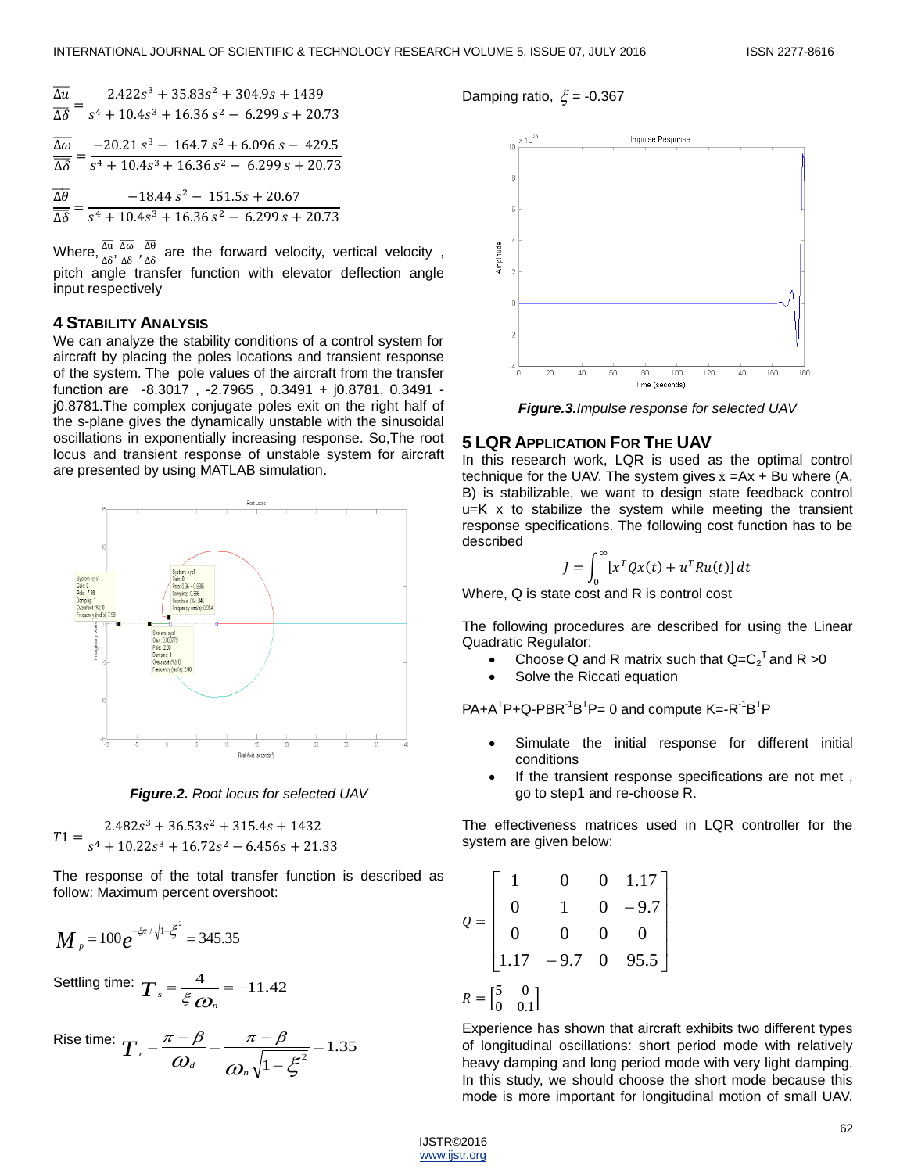$$
\frac{\overline{\Delta u}}{\overline{\Delta \delta}} = \frac{2.422s^3 + 35.83s^2 + 304.9s + 1439}{s^4 + 10.4s^3 + 16.36s^2 - 6.299s + 20.73}
$$
  

$$
\frac{\overline{\Delta \omega}}{\overline{\Delta \delta}} = \frac{-20.21s^3 - 164.7s^2 + 6.096s - 429.5}{s^4 + 10.4s^3 + 16.36s^2 - 6.299s + 20.73}
$$
  

$$
\overline{\Delta \theta} = -18.44s^2 - 151.5s + 20.67
$$

$$
\frac{1}{\Delta \delta} = \frac{1}{s^4 + 10.4s^3 + 16.36 s^2 - 6.299 s + 20.73}
$$

Where,  $\frac{\overline{\Delta u}}{\overline{\Delta \delta}}, \frac{\overline{\Delta \omega}}{\overline{\Delta \delta}}$  $rac{\overline{\Delta\omega}}{\overline{\Delta\delta}}$  ,  $rac{\overline{\Delta\theta}}{\overline{\Delta\delta}}$  $\frac{\Delta \sigma}{\Delta \delta}$  are the forward velocity, vertical velocity, pitch angle transfer function with elevator deflection angle input respectively

#### **4 STABILITY ANALYSIS**

We can analyze the stability conditions of a control system for aircraft by placing the poles locations and transient response of the system. The pole values of the aircraft from the transfer function are -8.3017 , -2.7965 , 0.3491 + j0.8781, 0.3491 j0.8781.The complex conjugate poles exit on the right half of the s-plane gives the dynamically unstable with the sinusoidal oscillations in exponentially increasing response. So,The root locus and transient response of unstable system for aircraft are presented by using MATLAB simulation.



*Figure.2. Root locus for selected UAV*

 $T1 = \frac{2.482s^3 + 36.53s^2 + 315.4s + 1432}{4 \times 48.23 \times 145.73 \times 1456 \times 124}$  $s^4 + 10.22s^3 + 16.72s^2 - 6.456s + 21.33$ 

The response of the total transfer function is described as follow: Maximum percent overshoot:

$$
M_p = 100e^{-\xi\pi/\sqrt{1-\xi^2}} = 345.35
$$

Settling time:  $T = \frac{4}{5} = -11.42$  $T_s = \frac{4}{\xi \omega_n}$ 

$$
\text{Rise time: } \boldsymbol{T}_r = \frac{\pi - \beta}{\omega_d} = \frac{\pi - \beta}{\omega_n \sqrt{1 - \xi^2}} = 1.35
$$

Damping ratio,  $\xi$  = -0.367



*Figure.3.Impulse response for selected UAV*

## **5 LQR APPLICATION FOR THE UAV**

In this research work, LQR is used as the optimal control technique for the UAV. The system gives  $\dot{x} = Ax + Bu$  where (A, B) is stabilizable, we want to design state feedback control u=K x to stabilize the system while meeting the transient response specifications. The following cost function has to be described

$$
J = \int_0^\infty [x^T Q x(t) + u^T R u(t)] dt
$$

Where, Q is state cost and R is control cost

The following procedures are described for using the Linear Quadratic Regulator:

- Choose Q and R matrix such that  $Q = C_2^T$  and R > 0
- Solve the Riccati equation

 $PA + A^{T}P + Q - PBR^{-1}B^{T}P = 0$  and compute  $K = -R^{-1}B^{T}P$ 

- Simulate the initial response for different initial conditions
- If the transient response specifications are not met, go to step1 and re-choose R.

The effectiveness matrices used in LQR controller for the system are given below:

$$
Q = \begin{bmatrix} 1 & 0 & 0 & 1.17 \\ 0 & 1 & 0 & -9.7 \\ 0 & 0 & 0 & 0 \\ 1.17 & -9.7 & 0 & 95.5 \end{bmatrix}
$$

$$
R = \begin{bmatrix} 5 & 0 \\ 0 & 0.1 \end{bmatrix}
$$

Experience has shown that aircraft exhibits two different types of longitudinal oscillations: short period mode with relatively heavy damping and long period mode with very light damping. In this study, we should choose the short mode because this mode is more important for longitudinal motion of small UAV.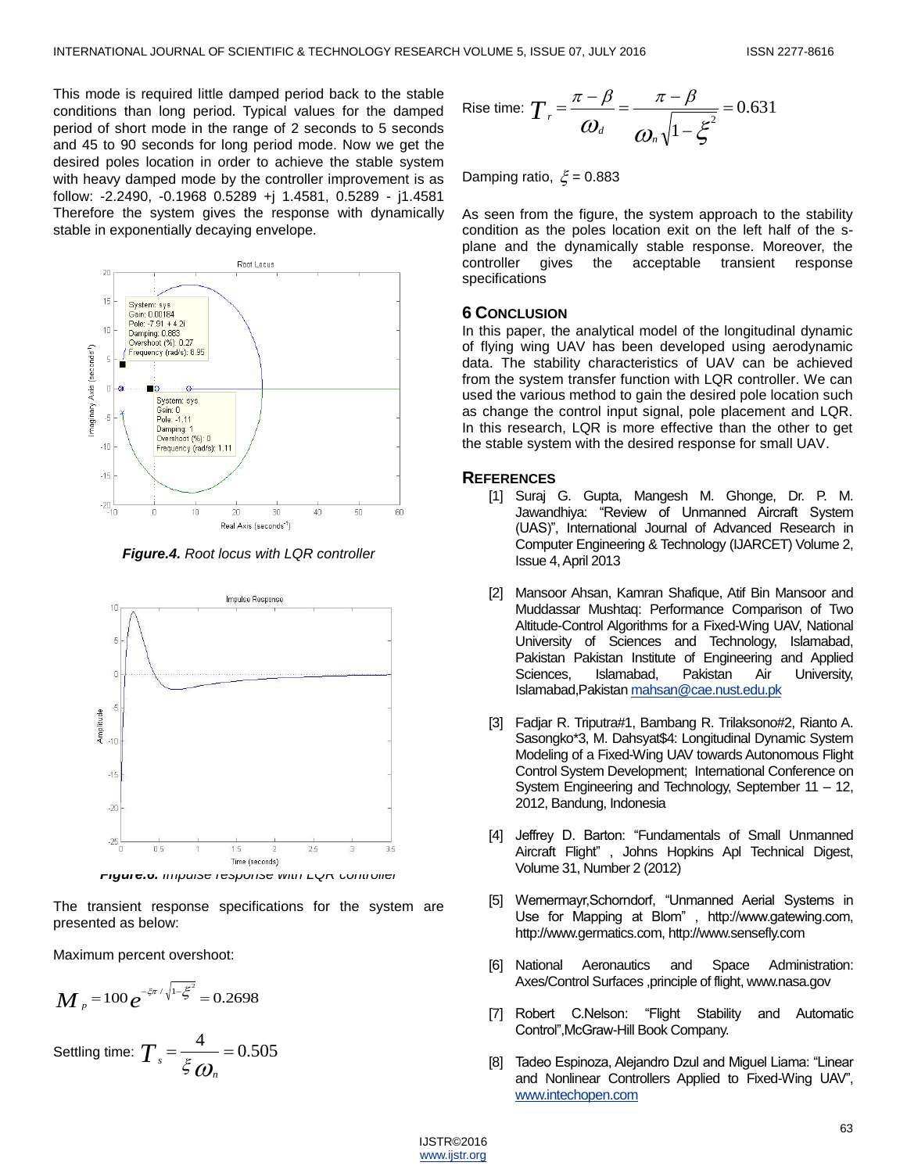This mode is required little damped period back to the stable conditions than long period. Typical values for the damped period of short mode in the range of 2 seconds to 5 seconds and 45 to 90 seconds for long period mode. Now we get the desired poles location in order to achieve the stable system with heavy damped mode by the controller improvement is as follow: -2.2490, -0.1968 0.5289 +j 1.4581, 0.5289 - j1.4581 Therefore the system gives the response with dynamically stable in exponentially decaying envelope.



*Figure.4. Root locus with LQR controller*



The transient response specifications for the system are presented as below:

Maximum percent overshoot:

$$
M_{p} = 100 e^{-\xi \pi / \sqrt{1 - \xi^{2}}} = 0.2698
$$

Setting time: 
$$
T_s = \frac{4}{\xi \omega_n} = 0.505
$$

$$
\text{Rise time: } \boldsymbol{T}_r = \frac{\pi - \beta}{\omega_d} = \frac{\pi - \beta}{\omega_n \sqrt{1 - \xi^2}} = 0.631
$$

Damping ratio,  $\xi$  = 0.883

As seen from the figure, the system approach to the stability condition as the poles location exit on the left half of the splane and the dynamically stable response. Moreover, the controller gives the acceptable transient response specifications

## **6 CONCLUSION**

In this paper, the analytical model of the longitudinal dynamic of flying wing UAV has been developed using aerodynamic data. The stability characteristics of UAV can be achieved from the system transfer function with LQR controller. We can used the various method to gain the desired pole location such as change the control input signal, pole placement and LQR. In this research, LQR is more effective than the other to get the stable system with the desired response for small UAV.

#### **REFERENCES**

- [1] Suraj G. Gupta, Mangesh M. Ghonge, Dr. P. M. Jawandhiya: "Review of Unmanned Aircraft System (UAS)", International Journal of Advanced Research in Computer Engineering & Technology (IJARCET) Volume 2, Issue 4, April 2013
- [2] Mansoor Ahsan, Kamran Shafique, Atif Bin Mansoor and Muddassar Mushtaq: Performance Comparison of Two Altitude-Control Algorithms for a Fixed-Wing UAV, National University of Sciences and Technology, Islamabad, Pakistan Pakistan Institute of Engineering and Applied Sciences, Islamabad, Pakistan Air University, Islamabad,Pakista[n mahsan@cae.nust.edu.pk](mailto:mahsan@cae.nust.edu.pk)
- [3] Fadjar R. Triputra#1, Bambang R. Trilaksono#2, Rianto A. Sasongko\*3, M. Dahsyat\$4: Longitudinal Dynamic System Modeling of a Fixed-Wing UAV towards Autonomous Flight Control System Development; International Conference on System Engineering and Technology, September 11 – 12, 2012, Bandung, Indonesia
- [4] Jeffrey D. Barton: "Fundamentals of Small Unmanned Aircraft Flight", Johns Hopkins Apl Technical Digest, Volume 31, Number 2 (2012)
- [5] Wernermayr, Schorndorf, "Unmanned Aerial Systems in Use for Mapping at Blom", http://www.gatewing.com, http://www.germatics.com, http://www.sensefly.com
- [6] National Aeronautics and Space Administration: Axes/Control Surfaces ,principle of flight, www.nasa.gov
- [7] Robert C.Nelson: "Flight Stability and Automatic Control‖,McGraw-Hill Book Company.
- [8] Tadeo Espinoza, Alejandro Dzul and Miguel Liama: "Linear and Nonlinear Controllers Applied to Fixed-Wing UAV", [www.intechopen.com](http://www.intechopen.com/)